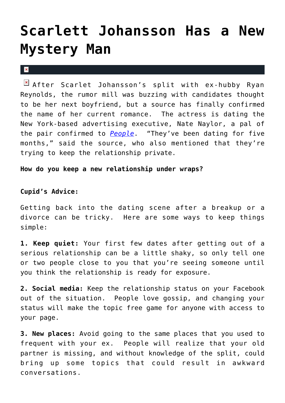## **[Scarlett Johansson Has a New](https://cupidspulse.com/26412/actress-scarlett-johansson-new-mystery-man-nate-naylor/) [Mystery Man](https://cupidspulse.com/26412/actress-scarlett-johansson-new-mystery-man-nate-naylor/)**

## $\vert \mathbf{x} \vert$

After Scarlet Johansson's split with ex-hubby Ryan Reynolds, the rumor mill was buzzing with candidates thought to be her next boyfriend, but a source has finally confirmed the name of her current romance. The actress is dating the New York-based advertising executive, Nate Naylor, a pal of the pair confirmed to *[People](http://www.people.com/people/article/0,,20566165,00.html)*. "They've been dating for five months," said the source, who also mentioned that they're trying to keep the relationship private.

**How do you keep a new relationship under wraps?**

## **Cupid's Advice:**

Getting back into the dating scene after a breakup or a divorce can be tricky. Here are some ways to keep things simple:

**1. Keep quiet:** Your first few dates after getting out of a serious relationship can be a little shaky, so only tell one or two people close to you that you're seeing someone until you think the relationship is ready for exposure.

**2. Social media:** Keep the relationship status on your Facebook out of the situation. People love gossip, and changing your status will make the topic free game for anyone with access to your page.

**3. New places:** Avoid going to the same places that you used to frequent with your ex. People will realize that your old partner is missing, and without knowledge of the split, could bring up some topics that could result in awkward conversations.